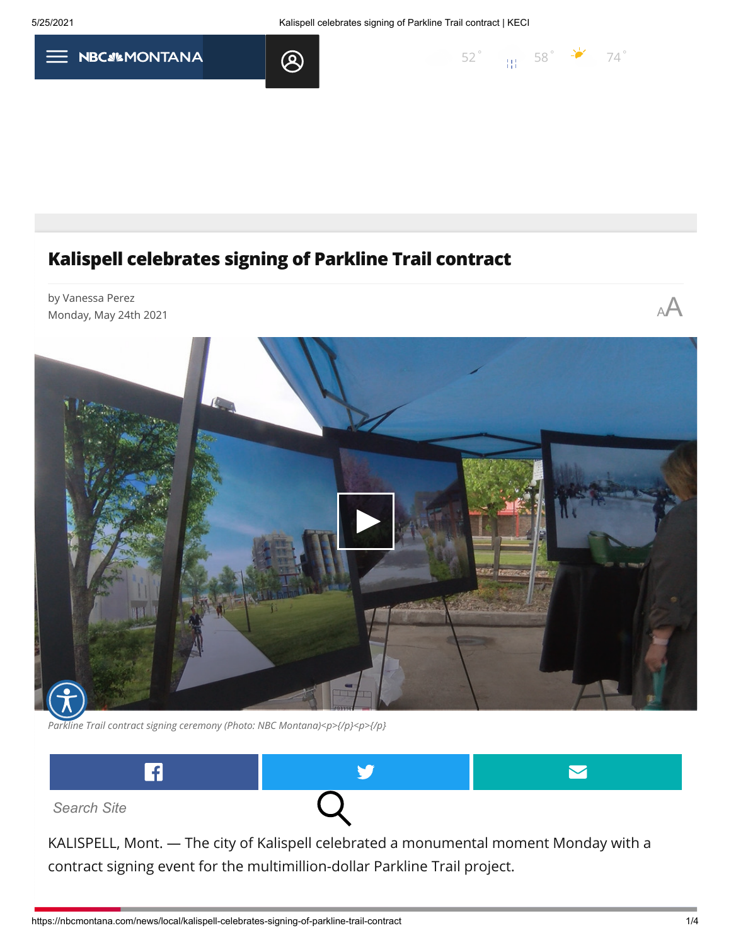[52](https://nbcmontana.com/weather)°  $\frac{11}{11}$  58°  $\frac{11}{11}$  74





## **Kalispell celebrates signing of Parkline Trail contract**

by Vanessa Perez



*Parkline Trail contract signing ceremony (Photo: NBC Montana)<p>{/p}<p>{/p}*



KALISPELL, Mont. — The city of Kalispell celebrated a monumental moment Monday with a contract signing event for the multimillion-dollar Parkline Trail project.